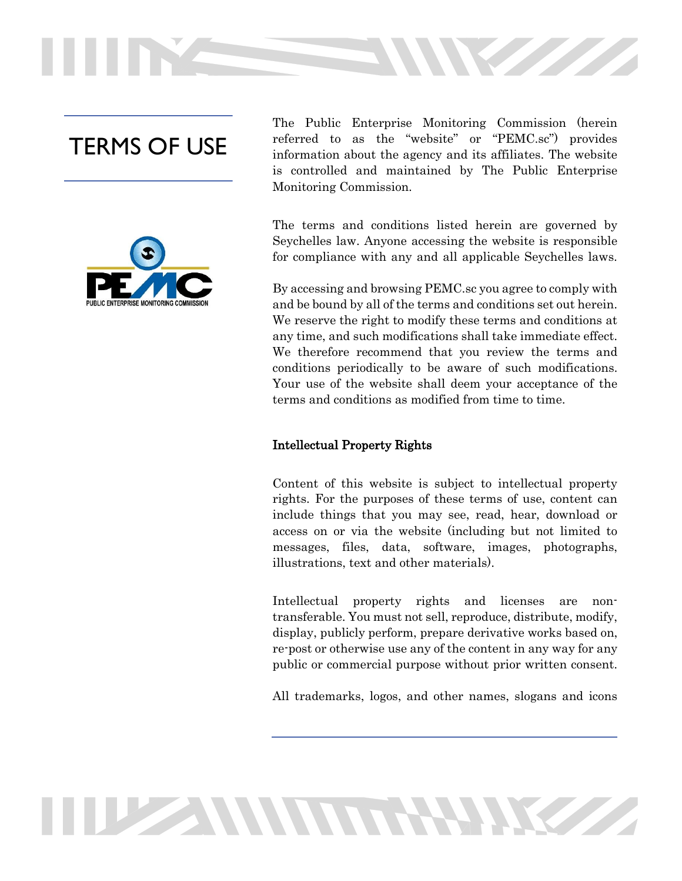# TERMS OF USE



The Public Enterprise Monitoring Commission (herein referred to as the "website" or "PEMC.sc") provides information about the agency and its affiliates. The website is controlled and maintained by The Public Enterprise Monitoring Commission.

The terms and conditions listed herein are governed by Seychelles law. Anyone accessing the website is responsible for compliance with any and all applicable Seychelles laws.

By accessing and browsing PEMC.sc you agree to comply with and be bound by all of the terms and conditions set out herein. We reserve the right to modify these terms and conditions at any time, and such modifications shall take immediate effect. We therefore recommend that you review the terms and conditions periodically to be aware of such modifications. Your use of the website shall deem your acceptance of the terms and conditions as modified from time to time.

#### Intellectual Property Rights

**THE ANNUAL PROPERTY** 

Content of this website is subject to intellectual property rights. For the purposes of these terms of use, content can include things that you may see, read, hear, download or access on or via the website (including but not limited to messages, files, data, software, images, photographs, illustrations, text and other materials).

Intellectual property rights and licenses are nontransferable. You must not sell, reproduce, distribute, modify, display, publicly perform, prepare derivative works based on, re-post or otherwise use any of the content in any way for any public or commercial purpose without prior written consent.

All trademarks, logos, and other names, slogans and icons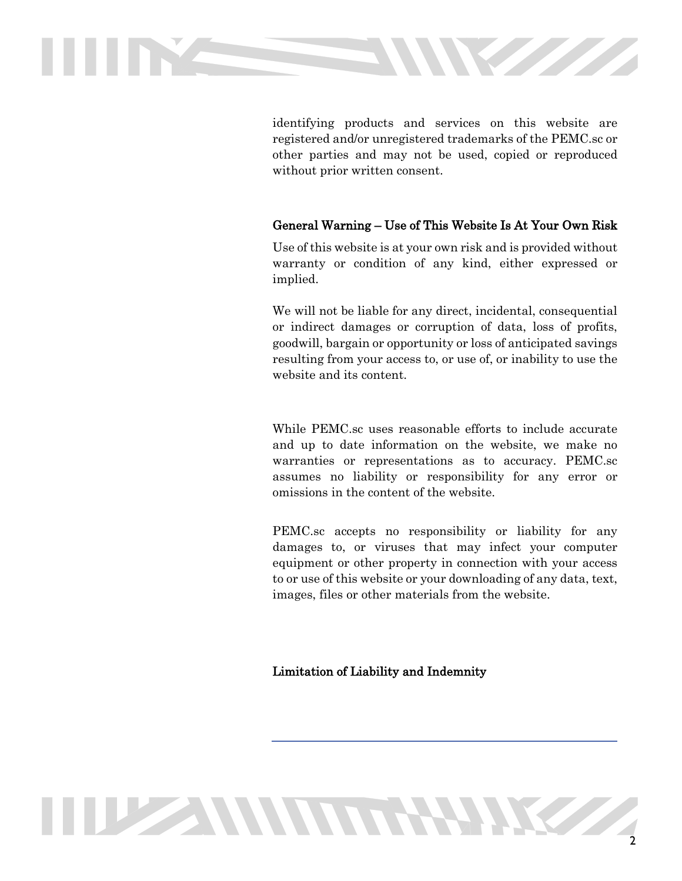

identifying products and services on this website are registered and/or unregistered trademarks of the PEMC.sc or other parties and may not be used, copied or reproduced without prior written consent.

# General Warning – Use of This Website Is At Your Own Risk

Use of this website is at your own risk and is provided without warranty or condition of any kind, either expressed or implied.

We will not be liable for any direct, incidental, consequential or indirect damages or corruption of data, loss of profits, goodwill, bargain or opportunity or loss of anticipated savings resulting from your access to, or use of, or inability to use the website and its content.

While PEMC.sc uses reasonable efforts to include accurate and up to date information on the website, we make no warranties or representations as to accuracy. PEMC.sc assumes no liability or responsibility for any error or omissions in the content of the website.

PEMC.sc accepts no responsibility or liability for any damages to, or viruses that may infect your computer equipment or other property in connection with your access to or use of this website or your downloading of any data, text, images, files or other materials from the website.

# Limitation of Liability and Indemnity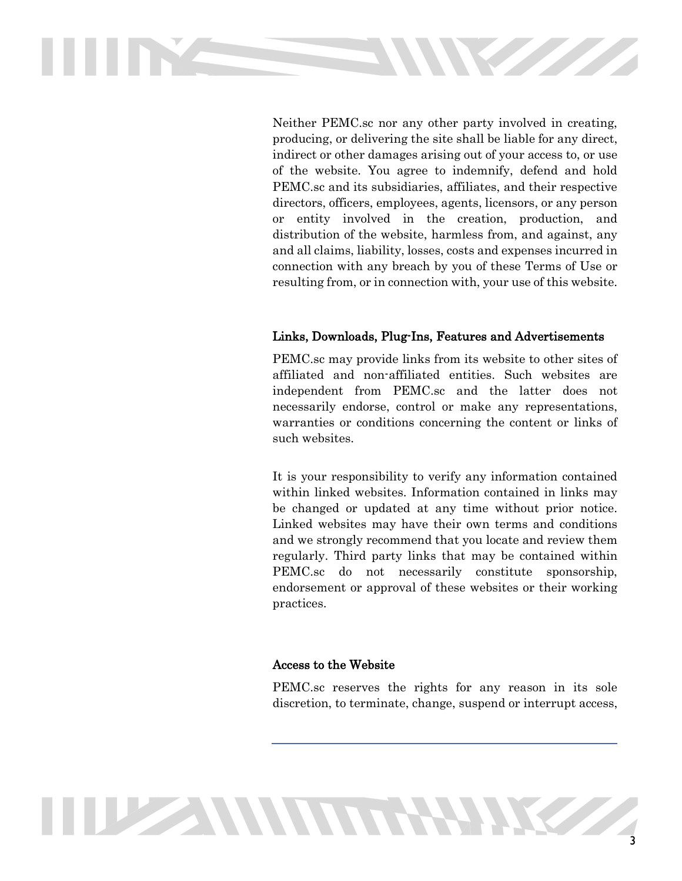

Neither PEMC.sc nor any other party involved in creating, producing, or delivering the site shall be liable for any direct, indirect or other damages arising out of your access to, or use of the website. You agree to indemnify, defend and hold PEMC.sc and its subsidiaries, affiliates, and their respective directors, officers, employees, agents, licensors, or any person or entity involved in the creation, production, and distribution of the website, harmless from, and against, any and all claims, liability, losses, costs and expenses incurred in connection with any breach by you of these Terms of Use or resulting from, or in connection with, your use of this website.

### Links, Downloads, Plug-Ins, Features and Advertisements

PEMC.sc may provide links from its website to other sites of affiliated and non-affiliated entities. Such websites are independent from PEMC.sc and the latter does not necessarily endorse, control or make any representations, warranties or conditions concerning the content or links of such websites.

It is your responsibility to verify any information contained within linked websites. Information contained in links may be changed or updated at any time without prior notice. Linked websites may have their own terms and conditions and we strongly recommend that you locate and review them regularly. Third party links that may be contained within PEMC.sc do not necessarily constitute sponsorship, endorsement or approval of these websites or their working practices.

#### Access to the Website

PEMC.sc reserves the rights for any reason in its sole discretion, to terminate, change, suspend or interrupt access,